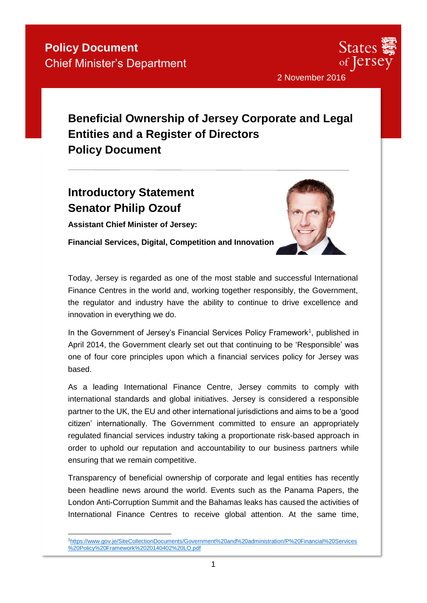

# **Beneficial Ownership of Jersey Corporate and Legal Entities and a Register of Directors Policy Document**

# **Introductory Statement Senator Philip Ozouf**

**Assistant Chief Minister of Jersey:**

-



**Financial Services, Digital, Competition and Innovatio[n](http://www.google.com/url?sa=i&source=imgres&cd=&cad=rja&uact=8&ved=0CAkQjRwwAGoVChMIs5j2pbTCyAIVyToUCh3Oxwh0&url=https://uk.linkedin.com/pub/philip-ozouf/19/543/766&psig=AFQjCNEfy72adw2mgLM6kjA-1VS5xXCSUA&ust=1444927436679130)**

Today, Jersey is regarded as one of the most stable and successful International Finance Centres in the world and, working together responsibly, the Government, the regulator and industry have the ability to continue to drive excellence and innovation in everything we do.

In the Government of Jersey's Financial Services Policy Framework<sup>1</sup>, published in April 2014, the Government clearly set out that continuing to be 'Responsible' was one of four core principles upon which a financial services policy for Jersey was based.

As a leading International Finance Centre, Jersey commits to comply with international standards and global initiatives. Jersey is considered a responsible partner to the UK, the EU and other international jurisdictions and aims to be a 'good citizen' internationally. The Government committed to ensure an appropriately regulated financial services industry taking a proportionate risk-based approach in order to uphold our reputation and accountability to our business partners while ensuring that we remain competitive.

Transparency of beneficial ownership of corporate and legal entities has recently been headline news around the world. Events such as the Panama Papers, the London Anti-Corruption Summit and the Bahamas leaks has caused the activities of International Finance Centres to receive global attention. At the same time,

<sup>1</sup>[https://www.gov.je/SiteCollectionDocuments/Government%20and%20administration/P%20Financial%20Services](https://www.gov.je/SiteCollectionDocuments/Government%20and%20administration/P%20Financial%20Services%20Policy%20Framework%2020140402%20LO.pdf) [%20Policy%20Framework%2020140402%20LO.pdf](https://www.gov.je/SiteCollectionDocuments/Government%20and%20administration/P%20Financial%20Services%20Policy%20Framework%2020140402%20LO.pdf)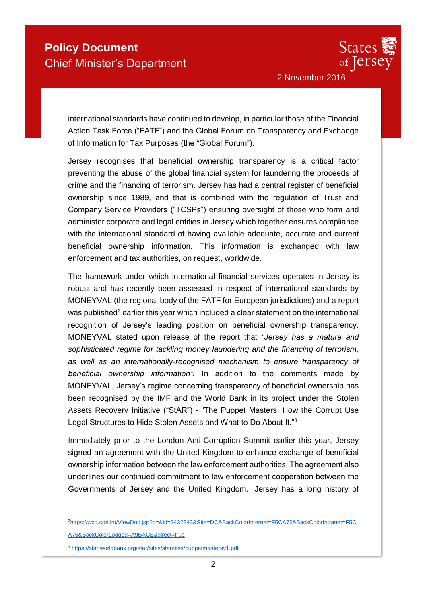

international standards have continued to develop, in particular those of the Financial Action Task Force ("FATF") and the Global Forum on Transparency and Exchange of Information for Tax Purposes (the "Global Forum").

Jersey recognises that beneficial ownership transparency is a critical factor preventing the abuse of the global financial system for laundering the proceeds of crime and the financing of terrorism. Jersey has had a central register of beneficial ownership since 1989, and that is combined with the regulation of Trust and Company Service Providers ("TCSPs") ensuring oversight of those who form and administer corporate and legal entities in Jersey which together ensures compliance with the international standard of having available adequate, accurate and current beneficial ownership information. This information is exchanged with law enforcement and tax authorities, on request, worldwide.

The framework under which international financial services operates in Jersey is robust and has recently been assessed in respect of international standards by MONEYVAL (the regional body of the FATF for European jurisdictions) and a report was published<sup>2</sup> earlier this year which included a clear statement on the international recognition of Jersey's leading position on beneficial ownership transparency. MONEYVAL stated upon release of the report that *"Jersey has a mature and sophisticated regime for tackling money laundering and the financing of terrorism, as well as an internationally-recognised mechanism to ensure transparency of beneficial ownership information".* In addition to the comments made by MONEYVAL, Jersey's regime concerning transparency of beneficial ownership has been recognised by the IMF and the World Bank in its project under the Stolen Assets Recovery Initiative ("StAR") - "The Puppet Masters. How the Corrupt Use Legal Structures to Hide Stolen Assets and What to Do About It."<sup>3</sup>

Immediately prior to the London Anti-Corruption Summit earlier this year, Jersey signed an agreement with the United Kingdom to enhance exchange of beneficial ownership information between the law enforcement authorities. The agreement also underlines our continued commitment to law enforcement cooperation between the Governments of Jersey and the United Kingdom. Jersey has a long history of

-

<sup>2</sup>[https://wcd.coe.int/ViewDoc.jsp?p=&id=2432343&Site=DC&BackColorInternet=F5CA75&BackColorIntranet=F5C](https://wcd.coe.int/ViewDoc.jsp?p=&id=2432343&Site=DC&BackColorInternet=F5CA75&BackColorIntranet=F5CA75&BackColorLogged=A9BACE&direct=true) [A75&BackColorLogged=A9BACE&direct=true](https://wcd.coe.int/ViewDoc.jsp?p=&id=2432343&Site=DC&BackColorInternet=F5CA75&BackColorIntranet=F5CA75&BackColorLogged=A9BACE&direct=true)

<sup>3</sup> <https://star.worldbank.org/star/sites/star/files/puppetmastersv1.pdf>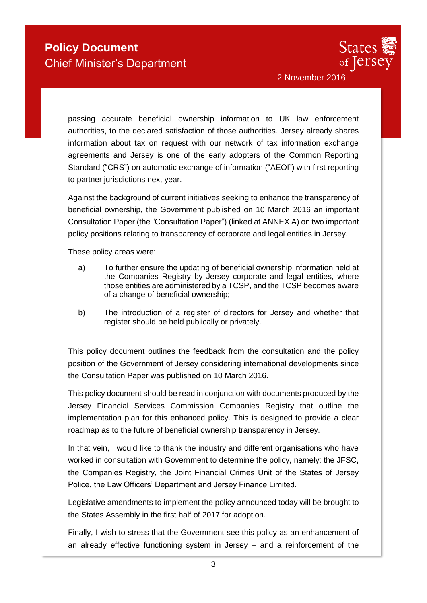

passing accurate beneficial ownership information to UK law enforcement authorities, to the declared satisfaction of those authorities. Jersey already shares information about tax on request with our network of tax information exchange agreements and Jersey is one of the early adopters of the Common Reporting Standard ("CRS") on automatic exchange of information ("AEOI") with first reporting to partner jurisdictions next year.

Against the background of current initiatives seeking to enhance the transparency of beneficial ownership, the Government published on 10 March 2016 an important Consultation Paper (the "Consultation Paper") (linked at ANNEX A) on two important policy positions relating to transparency of corporate and legal entities in Jersey.

These policy areas were:

- a) To further ensure the updating of beneficial ownership information held at the Companies Registry by Jersey corporate and legal entities, where those entities are administered by a TCSP, and the TCSP becomes aware of a change of beneficial ownership;
- b) The introduction of a register of directors for Jersey and whether that register should be held publically or privately.

This policy document outlines the feedback from the consultation and the policy position of the Government of Jersey considering international developments since the Consultation Paper was published on 10 March 2016.

This policy document should be read in conjunction with documents produced by the Jersey Financial Services Commission Companies Registry that outline the implementation plan for this enhanced policy. This is designed to provide a clear roadmap as to the future of beneficial ownership transparency in Jersey.

In that vein, I would like to thank the industry and different organisations who have worked in consultation with Government to determine the policy, namely: the JFSC, the Companies Registry, the Joint Financial Crimes Unit of the States of Jersey Police, the Law Officers' Department and Jersey Finance Limited.

Legislative amendments to implement the policy announced today will be brought to the States Assembly in the first half of 2017 for adoption.

Finally, I wish to stress that the Government see this policy as an enhancement of an already effective functioning system in Jersey – and a reinforcement of the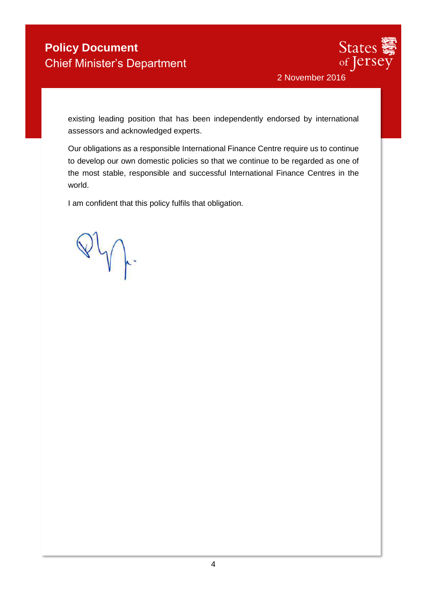

2 November 2016

existing leading position that has been independently endorsed by international assessors and acknowledged experts.

Our obligations as a responsible International Finance Centre require us to continue to develop our own domestic policies so that we continue to be regarded as one of the most stable, responsible and successful International Finance Centres in the world.

I am confident that this policy fulfils that obligation.

 $\forall\psi.$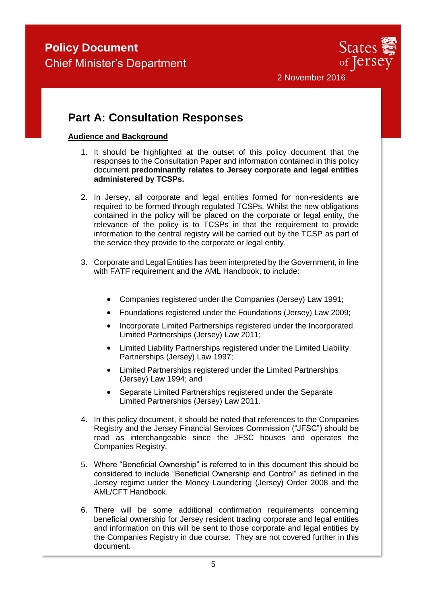

2 November 2016

#### **Part A: Consultation Responses**

#### **Audience and Background**

1. It should be highlighted at the outset of this policy document that the responses to the Consultation Paper and information contained in this policy document **predominantly relates to Jersey corporate and legal entities administered by TCSPs.**

- 2. In Jersey, all corporate and legal entities formed for non-residents are required to be formed through regulated TCSPs. Whilst the new obligations contained in the policy will be placed on the corporate or legal entity, the relevance of the policy is to TCSPs in that the requirement to provide information to the central registry will be carried out by the TCSP as part of the service they provide to the corporate or legal entity.
- 3. Corporate and Legal Entities has been interpreted by the Government, in line with FATF requirement and the AML Handbook, to include:
	- Companies registered under the Companies (Jersey) Law 1991;
	- Foundations registered under the Foundations (Jersey) Law 2009;
	- Incorporate Limited Partnerships registered under the Incorporated Limited Partnerships (Jersey) Law 2011;
	- Limited Liability Partnerships registered under the Limited Liability Partnerships (Jersey) Law 1997;
	- Limited Partnerships registered under the Limited Partnerships (Jersey) Law 1994; and
	- Separate Limited Partnerships registered under the Separate Limited Partnerships (Jersey) Law 2011.
- 4. In this policy document, it should be noted that references to the Companies Registry and the Jersey Financial Services Commission ("JFSC") should be read as interchangeable since the JFSC houses and operates the Companies Registry.
- 5. Where "Beneficial Ownership" is referred to in this document this should be considered to include "Beneficial Ownership and Control" as defined in the Jersey regime under the Money Laundering (Jersey) Order 2008 and the AML/CFT Handbook.
- 6. There will be some additional confirmation requirements concerning beneficial ownership for Jersey resident trading corporate and legal entities and information on this will be sent to those corporate and legal entities by the Companies Registry in due course. They are not covered further in this document.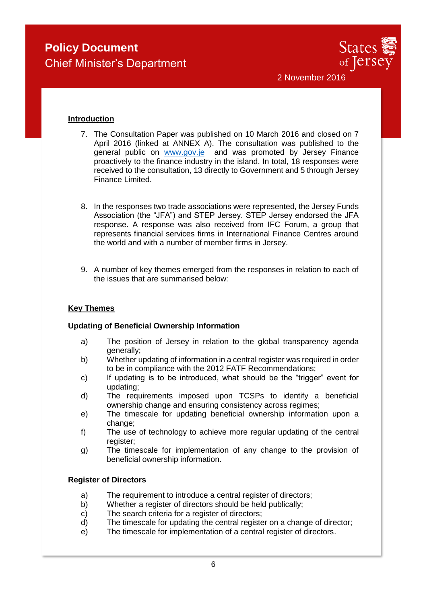

2 November 2016

#### **Introduction**

7. The Consultation Paper was published on 10 March 2016 and closed on 7 April 2016 (linked at ANNEX A). The consultation was published to the general public on [www.gov.je](http://www.gov.je/) and was promoted by Jersey Finance proactively to the finance industry in the island. In total, 18 responses were received to the consultation, 13 directly to Government and 5 through Jersey Finance Limited.

- 8. In the responses two trade associations were represented, the Jersey Funds Association (the "JFA") and STEP Jersey. STEP Jersey endorsed the JFA response. A response was also received from IFC Forum, a group that represents financial services firms in International Finance Centres around the world and with a number of member firms in Jersey.
- 9. A number of key themes emerged from the responses in relation to each of the issues that are summarised below:

#### **Key Themes**

#### **Updating of Beneficial Ownership Information**

- a) The position of Jersey in relation to the global transparency agenda generally;
- b) Whether updating of information in a central register was required in order to be in compliance with the 2012 FATF Recommendations;
- c) If updating is to be introduced, what should be the "trigger" event for updating;
- d) The requirements imposed upon TCSPs to identify a beneficial ownership change and ensuring consistency across regimes;
- e) The timescale for updating beneficial ownership information upon a change;
- f) The use of technology to achieve more regular updating of the central register;
- g) The timescale for implementation of any change to the provision of beneficial ownership information.

#### **Register of Directors**

- a) The requirement to introduce a central register of directors;
- b) Whether a register of directors should be held publically;
- c) The search criteria for a register of directors;
- d) The timescale for updating the central register on a change of director;
- e) The timescale for implementation of a central register of directors.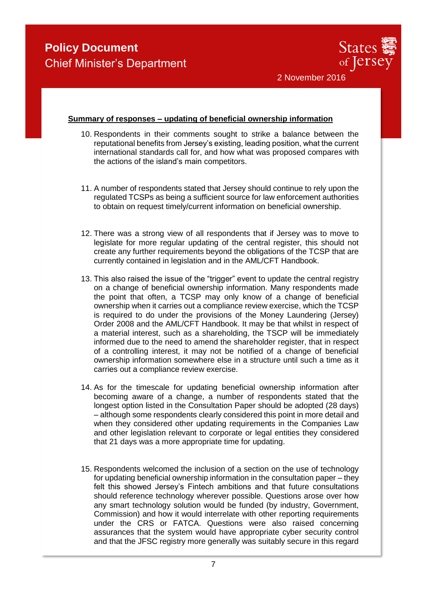

2 November 2016

#### **Summary of responses – updating of beneficial ownership information**

10. Respondents in their comments sought to strike a balance between the reputational benefits from Jersey's existing, leading position, what the current international standards call for, and how what was proposed compares with the actions of the island's main competitors.

- 11. A number of respondents stated that Jersey should continue to rely upon the regulated TCSPs as being a sufficient source for law enforcement authorities to obtain on request timely/current information on beneficial ownership.
- 12. There was a strong view of all respondents that if Jersey was to move to legislate for more regular updating of the central register, this should not create any further requirements beyond the obligations of the TCSP that are currently contained in legislation and in the AML/CFT Handbook.
- 13. This also raised the issue of the "trigger" event to update the central registry on a change of beneficial ownership information. Many respondents made the point that often, a TCSP may only know of a change of beneficial ownership when it carries out a compliance review exercise, which the TCSP is required to do under the provisions of the Money Laundering (Jersey) Order 2008 and the AML/CFT Handbook. It may be that whilst in respect of a material interest, such as a shareholding, the TSCP will be immediately informed due to the need to amend the shareholder register, that in respect of a controlling interest, it may not be notified of a change of beneficial ownership information somewhere else in a structure until such a time as it carries out a compliance review exercise.
- 14. As for the timescale for updating beneficial ownership information after becoming aware of a change, a number of respondents stated that the longest option listed in the Consultation Paper should be adopted (28 days) – although some respondents clearly considered this point in more detail and when they considered other updating requirements in the Companies Law and other legislation relevant to corporate or legal entities they considered that 21 days was a more appropriate time for updating.
- 15. Respondents welcomed the inclusion of a section on the use of technology for updating beneficial ownership information in the consultation paper – they felt this showed Jersey's Fintech ambitions and that future consultations should reference technology wherever possible. Questions arose over how any smart technology solution would be funded (by industry, Government, Commission) and how it would interrelate with other reporting requirements under the CRS or FATCA. Questions were also raised concerning assurances that the system would have appropriate cyber security control and that the JFSC registry more generally was suitably secure in this regard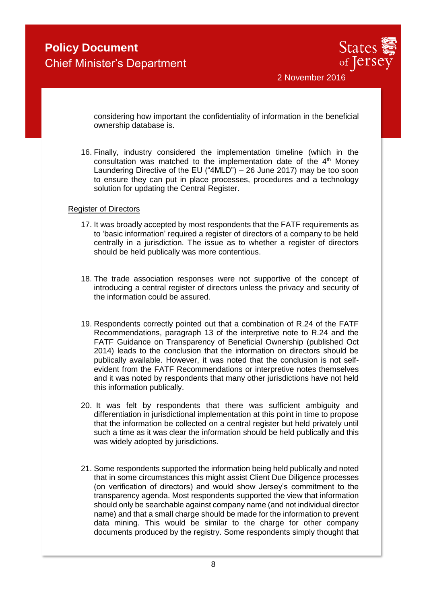

considering how important the confidentiality of information in the beneficial ownership database is.

16. Finally, industry considered the implementation timeline (which in the consultation was matched to the implementation date of the  $4<sup>th</sup>$  Money Laundering Directive of the EU ("4MLD") – 26 June 2017) may be too soon to ensure they can put in place processes, procedures and a technology solution for updating the Central Register.

#### Register of Directors

- 17. It was broadly accepted by most respondents that the FATF requirements as to 'basic information' required a register of directors of a company to be held centrally in a jurisdiction. The issue as to whether a register of directors should be held publically was more contentious.
- 18. The trade association responses were not supportive of the concept of introducing a central register of directors unless the privacy and security of the information could be assured.
- 19. Respondents correctly pointed out that a combination of R.24 of the FATF Recommendations, paragraph 13 of the interpretive note to R.24 and the FATF Guidance on Transparency of Beneficial Ownership (published Oct 2014) leads to the conclusion that the information on directors should be publically available. However, it was noted that the conclusion is not selfevident from the FATF Recommendations or interpretive notes themselves and it was noted by respondents that many other jurisdictions have not held this information publically.
- 20. It was felt by respondents that there was sufficient ambiguity and differentiation in jurisdictional implementation at this point in time to propose that the information be collected on a central register but held privately until such a time as it was clear the information should be held publically and this was widely adopted by jurisdictions.
- 21. Some respondents supported the information being held publically and noted that in some circumstances this might assist Client Due Diligence processes (on verification of directors) and would show Jersey's commitment to the transparency agenda. Most respondents supported the view that information should only be searchable against company name (and not individual director name) and that a small charge should be made for the information to prevent data mining. This would be similar to the charge for other company documents produced by the registry. Some respondents simply thought that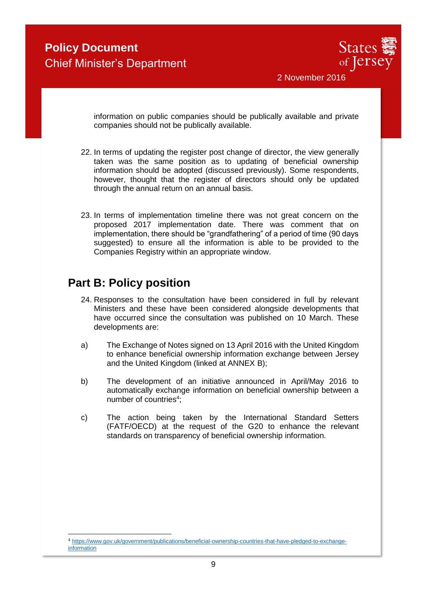

information on public companies should be publically available and private companies should not be publically available.

- 22. In terms of updating the register post change of director, the view generally taken was the same position as to updating of beneficial ownership information should be adopted (discussed previously). Some respondents, however, thought that the register of directors should only be updated through the annual return on an annual basis.
- 23. In terms of implementation timeline there was not great concern on the proposed 2017 implementation date. There was comment that on implementation, there should be "grandfathering" of a period of time (90 days suggested) to ensure all the information is able to be provided to the Companies Registry within an appropriate window.

#### **Part B: Policy position**

-

- 24. Responses to the consultation have been considered in full by relevant Ministers and these have been considered alongside developments that have occurred since the consultation was published on 10 March. These developments are:
- a) The Exchange of Notes signed on 13 April 2016 with the United Kingdom to enhance beneficial ownership information exchange between Jersey and the United Kingdom (linked at ANNEX B);
- b) The development of an initiative announced in April/May 2016 to automatically exchange information on beneficial ownership between a number of countries<sup>4</sup>;
- c) The action being taken by the International Standard Setters (FATF/OECD) at the request of the G20 to enhance the relevant standards on transparency of beneficial ownership information.

<sup>4</sup> [https://www.gov.uk/government/publications/beneficial-ownership-countries-that-have-pledged-to-exchange](https://www.gov.uk/government/publications/beneficial-ownership-countries-that-have-pledged-to-exchange-information)[information](https://www.gov.uk/government/publications/beneficial-ownership-countries-that-have-pledged-to-exchange-information)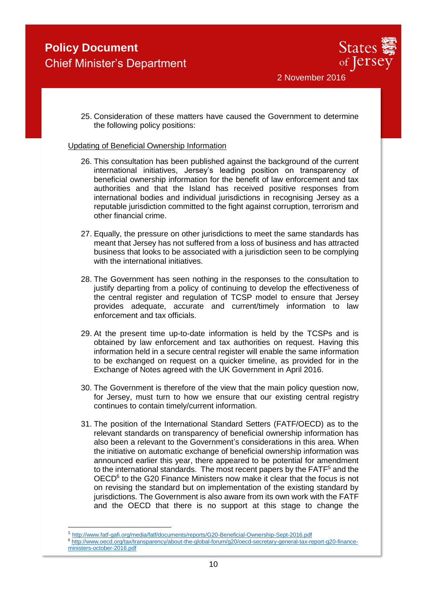

2 November 2016

25. Consideration of these matters have caused the Government to determine the following policy positions:

#### Updating of Beneficial Ownership Information

- 26. This consultation has been published against the background of the current international initiatives, Jersey's leading position on transparency of beneficial ownership information for the benefit of law enforcement and tax authorities and that the Island has received positive responses from international bodies and individual jurisdictions in recognising Jersey as a reputable jurisdiction committed to the fight against corruption, terrorism and other financial crime.
- 27. Equally, the pressure on other jurisdictions to meet the same standards has meant that Jersey has not suffered from a loss of business and has attracted business that looks to be associated with a jurisdiction seen to be complying with the international initiatives.
- 28. The Government has seen nothing in the responses to the consultation to justify departing from a policy of continuing to develop the effectiveness of the central register and regulation of TCSP model to ensure that Jersey provides adequate, accurate and current/timely information to law enforcement and tax officials.
- 29. At the present time up-to-date information is held by the TCSPs and is obtained by law enforcement and tax authorities on request. Having this information held in a secure central register will enable the same information to be exchanged on request on a quicker timeline, as provided for in the Exchange of Notes agreed with the UK Government in April 2016.
- 30. The Government is therefore of the view that the main policy question now, for Jersey, must turn to how we ensure that our existing central registry continues to contain timely/current information.
- 31. The position of the International Standard Setters (FATF/OECD) as to the relevant standards on transparency of beneficial ownership information has also been a relevant to the Government's considerations in this area. When the initiative on automatic exchange of beneficial ownership information was announced earlier this year, there appeared to be potential for amendment to the international standards. The most recent papers by the FATF<sup>5</sup> and the OECD<sup>6</sup> to the G20 Finance Ministers now make it clear that the focus is not on revising the standard but on implementation of the existing standard by jurisdictions. The Government is also aware from its own work with the FATF and the OECD that there is no support at this stage to change the

-

<sup>5</sup> <http://www.fatf-gafi.org/media/fatf/documents/reports/G20-Beneficial-Ownership-Sept-2016.pdf>

<sup>6</sup> [http://www.oecd.org/tax/transparency/about-the-global-forum/g20/oecd-secretary-general-tax-report-g20-finance](http://www.oecd.org/tax/transparency/about-the-global-forum/g20/oecd-secretary-general-tax-report-g20-finance-ministers-october-2016.pdf)[ministers-october-2016.pdf](http://www.oecd.org/tax/transparency/about-the-global-forum/g20/oecd-secretary-general-tax-report-g20-finance-ministers-october-2016.pdf)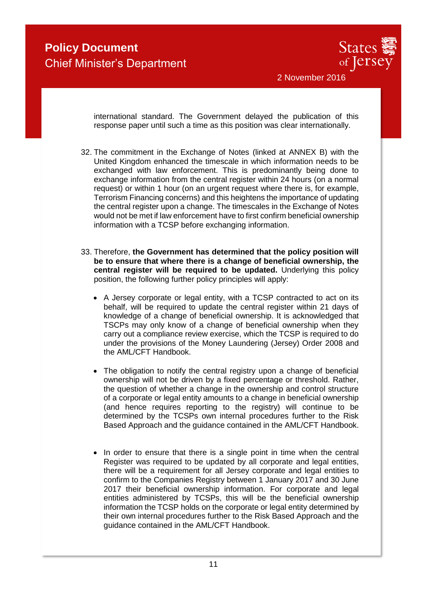

international standard. The Government delayed the publication of this response paper until such a time as this position was clear internationally.

- 32. The commitment in the Exchange of Notes (linked at ANNEX B) with the United Kingdom enhanced the timescale in which information needs to be exchanged with law enforcement. This is predominantly being done to exchange information from the central register within 24 hours (on a normal request) or within 1 hour (on an urgent request where there is, for example, Terrorism Financing concerns) and this heightens the importance of updating the central register upon a change. The timescales in the Exchange of Notes would not be met if law enforcement have to first confirm beneficial ownership information with a TCSP before exchanging information.
- 33. Therefore, **the Government has determined that the policy position will be to ensure that where there is a change of beneficial ownership, the central register will be required to be updated.** Underlying this policy position, the following further policy principles will apply:
	- A Jersey corporate or legal entity, with a TCSP contracted to act on its behalf, will be required to update the central register within 21 days of knowledge of a change of beneficial ownership. It is acknowledged that TSCPs may only know of a change of beneficial ownership when they carry out a compliance review exercise, which the TCSP is required to do under the provisions of the Money Laundering (Jersey) Order 2008 and the AML/CFT Handbook.
	- The obligation to notify the central registry upon a change of beneficial ownership will not be driven by a fixed percentage or threshold. Rather, the question of whether a change in the ownership and control structure of a corporate or legal entity amounts to a change in beneficial ownership (and hence requires reporting to the registry) will continue to be determined by the TCSPs own internal procedures further to the Risk Based Approach and the guidance contained in the AML/CFT Handbook.
	- In order to ensure that there is a single point in time when the central Register was required to be updated by all corporate and legal entities, there will be a requirement for all Jersey corporate and legal entities to confirm to the Companies Registry between 1 January 2017 and 30 June 2017 their beneficial ownership information. For corporate and legal entities administered by TCSPs, this will be the beneficial ownership information the TCSP holds on the corporate or legal entity determined by their own internal procedures further to the Risk Based Approach and the guidance contained in the AML/CFT Handbook.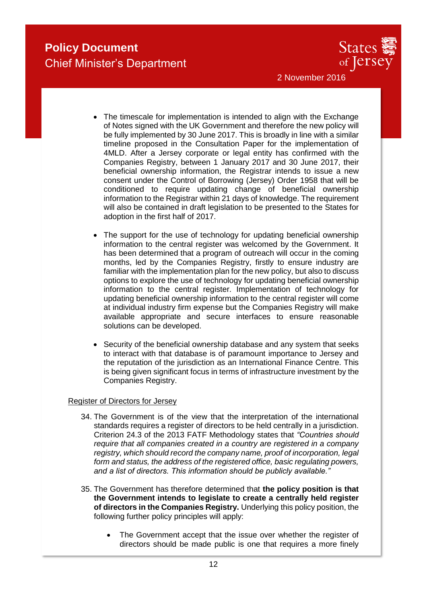

**States** 

of Jerse

• The timescale for implementation is intended to align with the Exchange of Notes signed with the UK Government and therefore the new policy will be fully implemented by 30 June 2017. This is broadly in line with a similar timeline proposed in the Consultation Paper for the implementation of 4MLD. After a Jersey corporate or legal entity has confirmed with the Companies Registry, between 1 January 2017 and 30 June 2017, their beneficial ownership information, the Registrar intends to issue a new consent under the Control of Borrowing (Jersey) Order 1958 that will be conditioned to require updating change of beneficial ownership information to the Registrar within 21 days of knowledge. The requirement will also be contained in draft legislation to be presented to the States for adoption in the first half of 2017.

- The support for the use of technology for updating beneficial ownership information to the central register was welcomed by the Government. It has been determined that a program of outreach will occur in the coming months, led by the Companies Registry, firstly to ensure industry are familiar with the implementation plan for the new policy, but also to discuss options to explore the use of technology for updating beneficial ownership information to the central register. Implementation of technology for updating beneficial ownership information to the central register will come at individual industry firm expense but the Companies Registry will make available appropriate and secure interfaces to ensure reasonable solutions can be developed.
- Security of the beneficial ownership database and any system that seeks to interact with that database is of paramount importance to Jersey and the reputation of the jurisdiction as an International Finance Centre. This is being given significant focus in terms of infrastructure investment by the Companies Registry.

#### Register of Directors for Jersey

- 34. The Government is of the view that the interpretation of the international standards requires a register of directors to be held centrally in a jurisdiction. Criterion 24.3 of the 2013 FATF Methodology states that *"Countries should require that all companies created in a country are registered in a company registry, which should record the company name, proof of incorporation, legal form and status, the address of the registered office, basic regulating powers, and a list of directors. This information should be publicly available."*
- 35. The Government has therefore determined that **the policy position is that the Government intends to legislate to create a centrally held register of directors in the Companies Registry.** Underlying this policy position, the following further policy principles will apply:
	- The Government accept that the issue over whether the register of directors should be made public is one that requires a more finely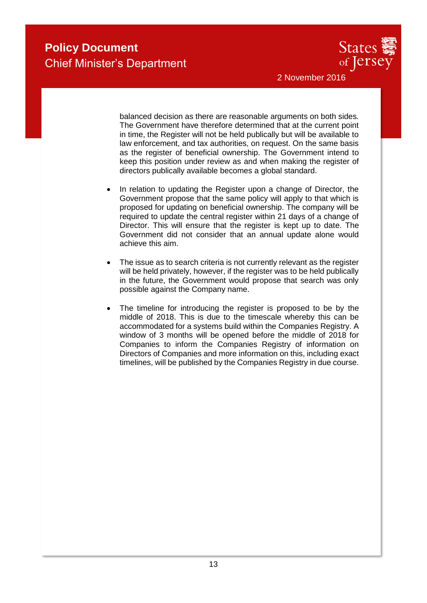

2 November 2016

balanced decision as there are reasonable arguments on both sides. The Government have therefore determined that at the current point in time, the Register will not be held publically but will be available to law enforcement, and tax authorities, on request. On the same basis as the register of beneficial ownership. The Government intend to keep this position under review as and when making the register of directors publically available becomes a global standard.

- In relation to updating the Register upon a change of Director, the Government propose that the same policy will apply to that which is proposed for updating on beneficial ownership. The company will be required to update the central register within 21 days of a change of Director. This will ensure that the register is kept up to date. The Government did not consider that an annual update alone would achieve this aim.
- The issue as to search criteria is not currently relevant as the register will be held privately, however, if the register was to be held publically in the future, the Government would propose that search was only possible against the Company name.
- The timeline for introducing the register is proposed to be by the middle of 2018. This is due to the timescale whereby this can be accommodated for a systems build within the Companies Registry. A window of 3 months will be opened before the middle of 2018 for Companies to inform the Companies Registry of information on Directors of Companies and more information on this, including exact timelines, will be published by the Companies Registry in due course.